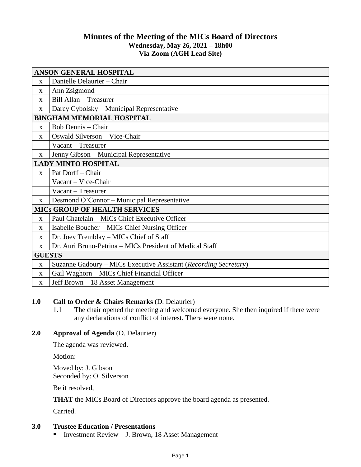## **Minutes of the Meeting of the MICs Board of Directors Wednesday, May 26, 2021 – 18h00 Via Zoom (AGH Lead Site)**

| <b>ANSON GENERAL HOSPITAL</b>        |                                                                  |
|--------------------------------------|------------------------------------------------------------------|
| $\mathbf{X}$                         | Danielle Delaurier - Chair                                       |
| $\mathbf{X}$                         | Ann Zsigmond                                                     |
| $\mathbf{x}$                         | Bill Allan - Treasurer                                           |
| X                                    | Darcy Cybolsky – Municipal Representative                        |
| <b>BINGHAM MEMORIAL HOSPITAL</b>     |                                                                  |
| $\mathbf{X}$                         | Bob Dennis - Chair                                               |
| $\mathbf{X}$                         | Oswald Silverson - Vice-Chair                                    |
|                                      | Vacant – Treasurer                                               |
| X                                    | Jenny Gibson - Municipal Representative                          |
| <b>LADY MINTO HOSPITAL</b>           |                                                                  |
| $\mathbf{X}$                         | Pat Dorff - Chair                                                |
|                                      | Vacant - Vice-Chair                                              |
|                                      | Vacant - Treasurer                                               |
| $\mathbf{X}$                         | Desmond O'Connor – Municipal Representative                      |
| <b>MICS GROUP OF HEALTH SERVICES</b> |                                                                  |
| $\mathbf{X}$                         | Paul Chatelain - MICs Chief Executive Officer                    |
| X                                    | Isabelle Boucher – MICs Chief Nursing Officer                    |
| X                                    | Dr. Joey Tremblay - MICs Chief of Staff                          |
| X                                    | Dr. Auri Bruno-Petrina - MICs President of Medical Staff         |
| <b>GUESTS</b>                        |                                                                  |
| $\mathbf X$                          | Suzanne Gadoury - MICs Executive Assistant (Recording Secretary) |
| $\mathbf{x}$                         | Gail Waghorn – MICs Chief Financial Officer                      |
| $\mathbf{X}$                         | Jeff Brown – 18 Asset Management                                 |

## **1.0 Call to Order & Chairs Remarks** (D. Delaurier)

1.1 The chair opened the meeting and welcomed everyone. She then inquired if there were any declarations of conflict of interest. There were none.

## **2.0 Approval of Agenda** (D. Delaurier)

The agenda was reviewed.

Motion:

Moved by: J. Gibson Seconded by: O. Silverson

Be it resolved,

**THAT** the MICs Board of Directors approve the board agenda as presented.

Carried.

# **3.0 Trustee Education / Presentations**

**Investment Review – J. Brown, 18 Asset Management**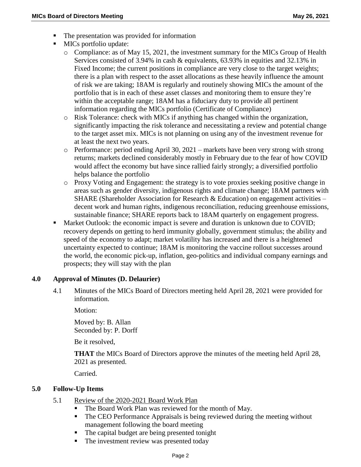- The presentation was provided for information
- $\blacksquare$  MICs portfolio update:
	- $\circ$  Compliance: as of May 15, 2021, the investment summary for the MICs Group of Health Services consisted of 3.94% in cash & equivalents, 63.93% in equities and 32.13% in Fixed Income; the current positions in compliance are very close to the target weights; there is a plan with respect to the asset allocations as these heavily influence the amount of risk we are taking; 18AM is regularly and routinely showing MICs the amount of the portfolio that is in each of these asset classes and monitoring them to ensure they're within the acceptable range; 18AM has a fiduciary duty to provide all pertinent information regarding the MICs portfolio (Certificate of Compliance)
	- o Risk Tolerance: check with MICs if anything has changed within the organization, significantly impacting the risk tolerance and necessitating a review and potential change to the target asset mix. MICs is not planning on using any of the investment revenue for at least the next two years.
	- o Performance: period ending April 30, 2021 markets have been very strong with strong returns; markets declined considerably mostly in February due to the fear of how COVID would affect the economy but have since rallied fairly strongly; a diversified portfolio helps balance the portfolio
	- o Proxy Voting and Engagement: the strategy is to vote proxies seeking positive change in areas such as gender diversity, indigenous rights and climate change; 18AM partners with SHARE (Shareholder Association for Research & Education) on engagement activities  $$ decent work and human rights, indigenous reconciliation, reducing greenhouse emissions, sustainable finance; SHARE reports back to 18AM quarterly on engagement progress.
- **Market Outlook: the economic impact is severe and duration is unknown due to COVID;** recovery depends on getting to herd immunity globally, government stimulus; the ability and speed of the economy to adapt; market volatility has increased and there is a heightened uncertainty expected to continue; 18AM is monitoring the vaccine rollout successes around the world, the economic pick-up, inflation, geo-politics and individual company earnings and prospects; they will stay with the plan

#### **4.0 Approval of Minutes (D. Delaurier)**

4.1 Minutes of the MICs Board of Directors meeting held April 28, 2021 were provided for information.

Motion:

Moved by: B. Allan Seconded by: P. Dorff

Be it resolved,

**THAT** the MICs Board of Directors approve the minutes of the meeting held April 28, 2021 as presented.

Carried.

## **5.0 Follow-Up Items**

- 5.1 Review of the 2020-2021 Board Work Plan
	- The Board Work Plan was reviewed for the month of May.
	- The CEO Performance Appraisals is being reviewed during the meeting without management following the board meeting
	- The capital budget are being presented tonight
	- The investment review was presented today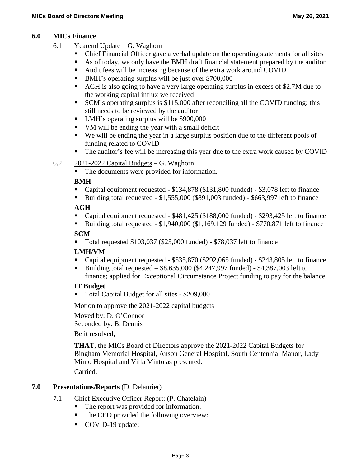#### **6.0 MICs Finance**

- 6.1 Yearend Update G. Waghorn
	- Chief Financial Officer gave a verbal update on the operating statements for all sites
	- As of today, we only have the BMH draft financial statement prepared by the auditor
	- Audit fees will be increasing because of the extra work around COVID
	- BMH's operating surplus will be just over \$700,000
	- AGH is also going to have a very large operating surplus in excess of \$2.7M due to the working capital influx we received
	- SCM's operating surplus is \$115,000 after reconciling all the COVID funding; this still needs to be reviewed by the auditor
	- LMH's operating surplus will be \$900,000
	- VM will be ending the year with a small deficit
	- We will be ending the year in a large surplus position due to the different pools of funding related to COVID
	- The auditor's fee will be increasing this year due to the extra work caused by COVID

## $6.2$  2021-2022 Capital Budgets – G. Waghorn

• The documents were provided for information.

## **BMH**

- Capital equipment requested \$134,878 (\$131,800 funded) \$3,078 left to finance
- Building total requested \$1,555,000 (\$891,003 funded) \$663,997 left to finance

## **AGH**

- Capital equipment requested \$481,425 (\$188,000 funded) \$293,425 left to finance
- Building total requested  $$1,940,000$  ( $$1,169,129$  funded)  $$770,871$  left to finance

## **SCM**

Total requested \$103,037 (\$25,000 funded) - \$78,037 left to finance

## **LMH/VM**

- Capital equipment requested \$535,870 (\$292,065 funded) \$243,805 left to finance
- Building total requested \$8,635,000 (\$4,247,997 funded) \$4,387,003 left to finance; applied for Exceptional Circumstance Project funding to pay for the balance

#### **IT Budget**

■ Total Capital Budget for all sites - \$209,000

Motion to approve the 2021-2022 capital budgets

Moved by: D. O'Connor

Seconded by: B. Dennis

Be it resolved,

**THAT**, the MICs Board of Directors approve the 2021-2022 Capital Budgets for Bingham Memorial Hospital, Anson General Hospital, South Centennial Manor, Lady Minto Hospital and Villa Minto as presented.

Carried.

## **7.0 Presentations/Reports** (D. Delaurier)

- 7.1 Chief Executive Officer Report: (P. Chatelain)
	- The report was provided for information.
	- The CEO provided the following overview:
	- COVID-19 update: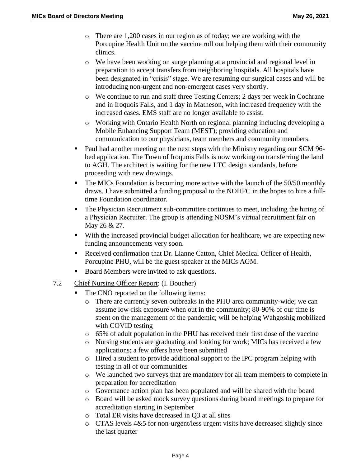- o There are 1,200 cases in our region as of today; we are working with the Porcupine Health Unit on the vaccine roll out helping them with their community clinics.
- o We have been working on surge planning at a provincial and regional level in preparation to accept transfers from neighboring hospitals. All hospitals have been designated in "crisis" stage. We are resuming our surgical cases and will be introducing non-urgent and non-emergent cases very shortly.
- o We continue to run and staff three Testing Centers; 2 days per week in Cochrane and in Iroquois Falls, and 1 day in Matheson, with increased frequency with the increased cases. EMS staff are no longer available to assist.
- o Working with Ontario Health North on regional planning including developing a Mobile Enhancing Support Team (MEST); providing education and communication to our physicians, team members and community members.
- Paul had another meeting on the next steps with the Ministry regarding our SCM 96bed application. The Town of Iroquois Falls is now working on transferring the land to AGH. The architect is waiting for the new LTC design standards, before proceeding with new drawings.
- The MICs Foundation is becoming more active with the launch of the 50/50 monthly draws. I have submitted a funding proposal to the NOHFC in the hopes to hire a fulltime Foundation coordinator.
- The Physician Recruitment sub-committee continues to meet, including the hiring of a Physician Recruiter. The group is attending NOSM's virtual recruitment fair on May 26 & 27.
- With the increased provincial budget allocation for healthcare, we are expecting new funding announcements very soon.
- Received confirmation that Dr. Lianne Catton, Chief Medical Officer of Health, Porcupine PHU, will be the guest speaker at the MICs AGM.
- Board Members were invited to ask questions.
- 7.2 Chief Nursing Officer Report: (I. Boucher)
	- The CNO reported on the following items:
		- o There are currently seven outbreaks in the PHU area community-wide; we can assume low-risk exposure when out in the community; 80-90% of our time is spent on the management of the pandemic; will be helping Wahgoshig mobilized with COVID testing
		- o 65% of adult population in the PHU has received their first dose of the vaccine
		- o Nursing students are graduating and looking for work; MICs has received a few applications; a few offers have been submitted
		- o Hired a student to provide additional support to the IPC program helping with testing in all of our communities
		- o We launched two surveys that are mandatory for all team members to complete in preparation for accreditation
		- o Governance action plan has been populated and will be shared with the board
		- o Board will be asked mock survey questions during board meetings to prepare for accreditation starting in September
		- o Total ER visits have decreased in Q3 at all sites
		- $\circ$  CTAS levels 4&5 for non-urgent/less urgent visits have decreased slightly since the last quarter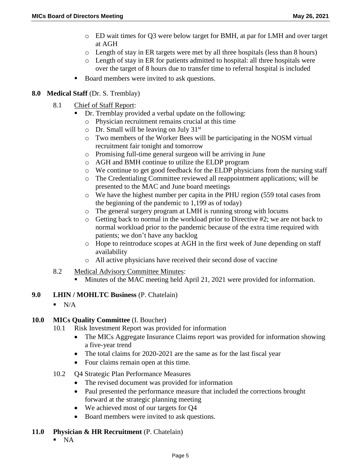- o ED wait times for Q3 were below target for BMH, at par for LMH and over target at AGH
- o Length of stay in ER targets were met by all three hospitals (less than 8 hours)
- o Length of stay in ER for patients admitted to hospital: all three hospitals were over the target of 8 hours due to transfer time to referral hospital is included
- Board members were invited to ask questions.

## **8.0 Medical Staff** (Dr. S. Tremblay)

- 8.1 Chief of Staff Report:
	- Dr. Tremblay provided a verbal update on the following:
	- o Physician recruitment remains crucial at this time
	- $\circ$  Dr. Small will be leaving on July 31<sup>st</sup>
	- o Two members of the Worker Bees will be participating in the NOSM virtual recruitment fair tonight and tomorrow
	- o Promising full-time general surgeon will be arriving in June
	- o AGH and BMH continue to utilize the ELDP program
	- o We continue to get good feedback for the ELDP physicians from the nursing staff
	- o The Credentialing Committee reviewed all reappointment applications; will be presented to the MAC and June board meetings
	- o We have the highest number per capita in the PHU region (559 total cases from the beginning of the pandemic to 1,199 as of today)
	- o The general surgery program at LMH is running strong with locums
	- o Getting back to normal in the workload prior to Directive #2; we are not back to normal workload prior to the pandemic because of the extra time required with patients; we don't have any backlog
	- o Hope to reintroduce scopes at AGH in the first week of June depending on staff availability
	- o All active physicians have received their second dose of vaccine
- 8.2 Medical Advisory Committee Minutes:
	- Minutes of the MAC meeting held April 21, 2021 were provided for information.
- **9.0 LHIN / MOHLTC Business** (P. Chatelain)
	- $N/A$

#### **10.0 MICs Quality Committee** (I. Boucher)

- 10.1 Risk Investment Report was provided for information
	- The MICs Aggregate Insurance Claims report was provided for information showing a five-year trend
	- The total claims for 2020-2021 are the same as for the last fiscal year
	- Four claims remain open at this time.
- 10.2 Q4 Strategic Plan Performance Measures
	- The revised document was provided for information
	- Paul presented the performance measure that included the corrections brought forward at the strategic planning meeting
	- We achieved most of our targets for Q4
	- Board members were invited to ask questions.

## **11.0 Physician & HR Recruitment** (P. Chatelain)

 $N_A$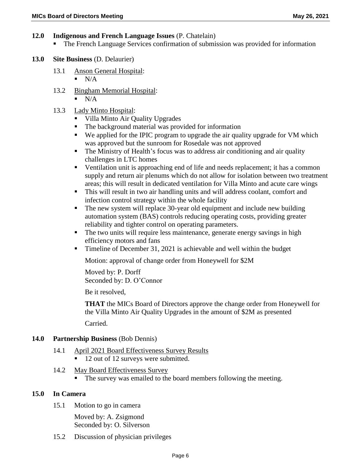#### **12.0 Indigenous and French Language Issues** (P. Chatelain)

The French Language Services confirmation of submission was provided for information

#### **13.0 Site Business** (D. Delaurier)

- 13.1 Anson General Hospital:
	- $N/A$
- 13.2 Bingham Memorial Hospital:
	- $\blacksquare$  N/A

## 13.3 Lady Minto Hospital:

- Villa Minto Air Quality Upgrades
- The background material was provided for information<br>We annited for the IPIC program to upgrade the air qua
- We applied for the IPIC program to upgrade the air quality upgrade for VM which was approved but the sunroom for Rosedale was not approved
- The Ministry of Health's focus was to address air conditioning and air quality challenges in LTC homes
- Ventilation unit is approaching end of life and needs replacement; it has a common supply and return air plenums which do not allow for isolation between two treatment areas; this will result in dedicated ventilation for Villa Minto and acute care wings
- This will result in two air handling units and will address coolant, comfort and infection control strategy within the whole facility
- The new system will replace 30-year old equipment and include new building automation system (BAS) controls reducing operating costs, providing greater reliability and tighter control on operating parameters.
- The two units will require less maintenance, generate energy savings in high efficiency motors and fans
- Timeline of December 31, 2021 is achievable and well within the budget

Motion: approval of change order from Honeywell for \$2M

Moved by: P. Dorff Seconded by: D. O'Connor

Be it resolved,

**THAT** the MICs Board of Directors approve the change order from Honeywell for the Villa Minto Air Quality Upgrades in the amount of \$2M as presented Carried.

#### **14.0 Partnership Business** (Bob Dennis)

#### 14.1 April 2021 Board Effectiveness Survey Results ■ 12 out of 12 surveys were submitted.

- 14.2 May Board Effectiveness Survey
	- The survey was emailed to the board members following the meeting.

#### **15.0 In Camera**

15.1 Motion to go in camera

Moved by: A. Zsigmond Seconded by: O. Silverson

15.2 Discussion of physician privileges